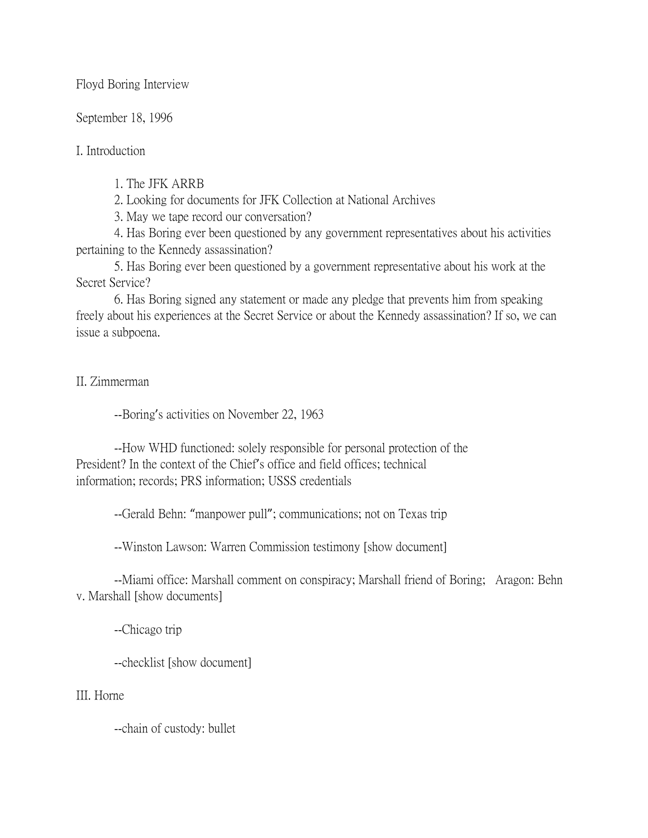Floyd Boring Interview

September 18, 1996

I. Introduction

1. The JFK ARRB

2. Looking for documents for JFK Collection at National Archives

3. May we tape record our conversation?

4. Has Boring ever been questioned by any government representatives about his activities pertaining to the Kennedy assassination?

5. Has Boring ever been questioned by a government representative about his work at the Secret Service?

6. Has Boring signed any statement or made any pledge that prevents him from speaking freely about his experiences at the Secret Service or about the Kennedy assassination? If so, we can issue a subpoena.

II. Zimmerman

--Boring's activities on November 22, 1963

--How WHD functioned: solely responsible for personal protection of the President? In the context of the Chief's office and field offices; technical information; records; PRS information; USSS credentials

--Gerald Behn: "manpower pull"; communications; not on Texas trip

--Winston Lawson: Warren Commission testimony [show document]

--Miami office: Marshall comment on conspiracy; Marshall friend of Boring; Aragon: Behn v. Marshall [show documents]

--Chicago trip

--checklist [show document]

III. Horne

--chain of custody: bullet